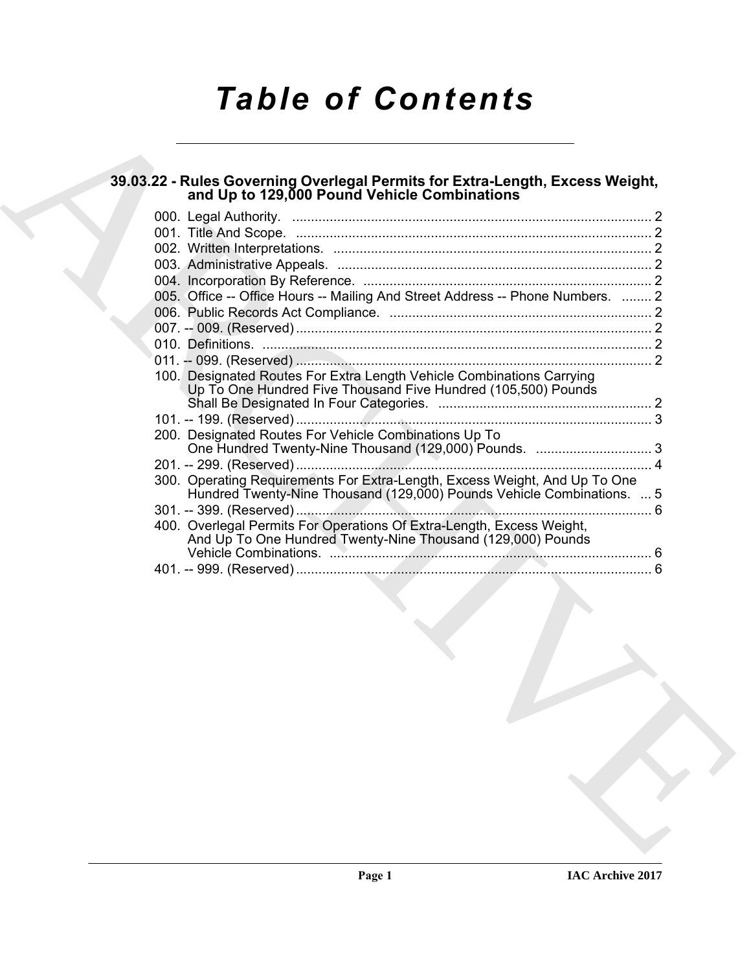# *Table of Contents*

# **39.03.22 - Rules Governing Overlegal Permits for Extra-Length, Excess Weight, and Up to 129,000 Pound Vehicle Combinations**

| 39.03.22 - Rules Governing Overlegal Permits for Extra-Length, Excess Weight,<br>and Up to 129,000 Pound Vehicle Combinations                        |  |
|------------------------------------------------------------------------------------------------------------------------------------------------------|--|
|                                                                                                                                                      |  |
|                                                                                                                                                      |  |
|                                                                                                                                                      |  |
|                                                                                                                                                      |  |
| 005. Office -- Office Hours -- Mailing And Street Address -- Phone Numbers.  2                                                                       |  |
|                                                                                                                                                      |  |
|                                                                                                                                                      |  |
|                                                                                                                                                      |  |
|                                                                                                                                                      |  |
| 100. Designated Routes For Extra Length Vehicle Combinations Carrying<br>Up To One Hundred Five Thousand Five Hundred (105,500) Pounds               |  |
|                                                                                                                                                      |  |
| 200. Designated Routes For Vehicle Combinations Up To                                                                                                |  |
|                                                                                                                                                      |  |
|                                                                                                                                                      |  |
| 300. Operating Requirements For Extra-Length, Excess Weight, And Up To One<br>Hundred Twenty-Nine Thousand (129,000) Pounds Vehicle Combinations.  5 |  |
|                                                                                                                                                      |  |
| 400. Overlegal Permits For Operations Of Extra-Length, Excess Weight,<br>And Up To One Hundred Twenty-Nine Thousand (129,000) Pounds                 |  |
|                                                                                                                                                      |  |
|                                                                                                                                                      |  |
|                                                                                                                                                      |  |
|                                                                                                                                                      |  |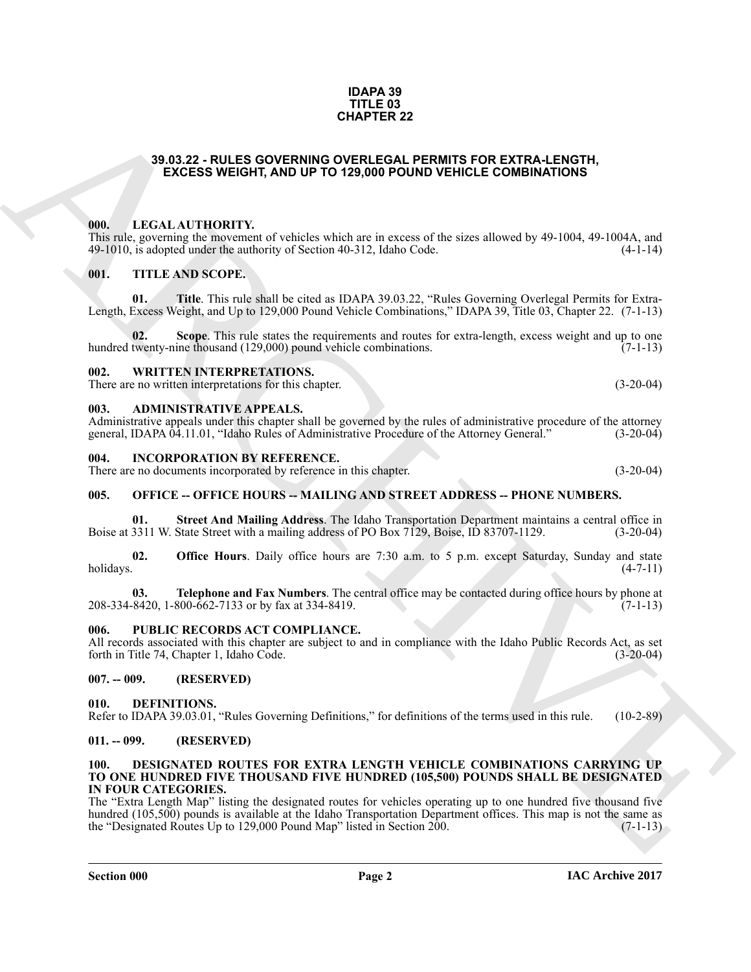### **IDAPA 39 TITLE 03 CHAPTER 22**

# <span id="page-1-0"></span>**39.03.22 - RULES GOVERNING OVERLEGAL PERMITS FOR EXTRA-LENGTH, EXCESS WEIGHT, AND UP TO 129,000 POUND VEHICLE COMBINATIONS**

## <span id="page-1-1"></span>**000. LEGAL AUTHORITY.**

This rule, governing the movement of vehicles which are in excess of the sizes allowed by 49-1004, 49-1004A, and 49-1010, is adopted under the authority of Section 40-312, Idaho Code. (4-1-14) 49-1010, is adopted under the authority of Section 40-312, Idaho Code.

# <span id="page-1-2"></span>**001. TITLE AND SCOPE.**

**01. Title**. This rule shall be cited as IDAPA 39.03.22, "Rules Governing Overlegal Permits for Extra-Length, Excess Weight, and Up to 129,000 Pound Vehicle Combinations," IDAPA 39, Title 03, Chapter 22. (7-1-13)

**Scope**. This rule states the requirements and routes for extra-length, excess weight and up to one ine thousand (129.000) pound vehicle combinations. (7-1-13) hundred twenty-nine thousand (129,000) pound vehicle combinations.

## <span id="page-1-3"></span>**002. WRITTEN INTERPRETATIONS.**

There are no written interpretations for this chapter. (3-20-04)

# <span id="page-1-4"></span>**003. ADMINISTRATIVE APPEALS.**

Administrative appeals under this chapter shall be governed by the rules of administrative procedure of the attorney general, IDAPA 04.11.01, "Idaho Rules of Administrative Procedure of the Attorney General." (3-20-04) general, IDAPA 04.11.01, "Idaho Rules of Administrative Procedure of the Attorney General."

<span id="page-1-5"></span>**004. INCORPORATION BY REFERENCE.**

There are no documents incorporated by reference in this chapter. (3-20-04)

## <span id="page-1-6"></span>**005. OFFICE -- OFFICE HOURS -- MAILING AND STREET ADDRESS -- PHONE NUMBERS.**

**01. Street And Mailing Address**. The Idaho Transportation Department maintains a central office in Boise at 3311 W. State Street with a mailing address of PO Box 7129, Boise, ID 83707-1129.

**02. Office Hours**. Daily office hours are 7:30 a.m. to 5 p.m. except Saturday, Sunday and state holidays. (4-7-11) holidays. (4-7-11)

**03. Telephone and Fax Numbers**. The central office may be contacted during office hours by phone at 8420, 1-800-662-7133 or by fax at 334-8419. 208-334-8420, 1-800-662-7133 or by fax at 334-8419.

## <span id="page-1-7"></span>**006. PUBLIC RECORDS ACT COMPLIANCE.**

All records associated with this chapter are subject to and in compliance with the Idaho Public Records Act, as set forth in Title 74, Chapter 1, Idaho Code. (3-20-04) forth in Title 74, Chapter 1, Idaho Code.

## <span id="page-1-8"></span>**007. -- 009. (RESERVED)**

## <span id="page-1-12"></span><span id="page-1-9"></span>**010. DEFINITIONS.**

Refer to IDAPA 39.03.01, "Rules Governing Definitions," for definitions of the terms used in this rule. (10-2-89)

## <span id="page-1-10"></span>**011. -- 099. (RESERVED)**

#### <span id="page-1-13"></span><span id="page-1-11"></span>**100. DESIGNATED ROUTES FOR EXTRA LENGTH VEHICLE COMBINATIONS CARRYING UP TO ONE HUNDRED FIVE THOUSAND FIVE HUNDRED (105,500) POUNDS SHALL BE DESIGNATED IN FOUR CATEGORIES.**

**38.03.22 - FOLLES GOVERNITE 22**<br> **CHARCHIVE CONTRIGUORS (CONTRIGUORS CONTRIGUORS)**<br> **ENCESS WEIGHT, AND UP TO 128.00 POUND VEHICLE COMENIATIONS**<br> **ERECT:**<br> **ERECT:**<br> **ERECT:**<br> **ERECT:**<br> **ERECT:**<br> **ERECT:**<br> **ERECT:**<br> **ERE** The "Extra Length Map" listing the designated routes for vehicles operating up to one hundred five thousand five hundred (105,500) pounds is available at the Idaho Transportation Department offices. This map is not the same as the "Designated Routes Up to 129,000 Pound Map" listed in Section 200. the "Designated Routes Up to 129,000 Pound Map" listed in Section 200.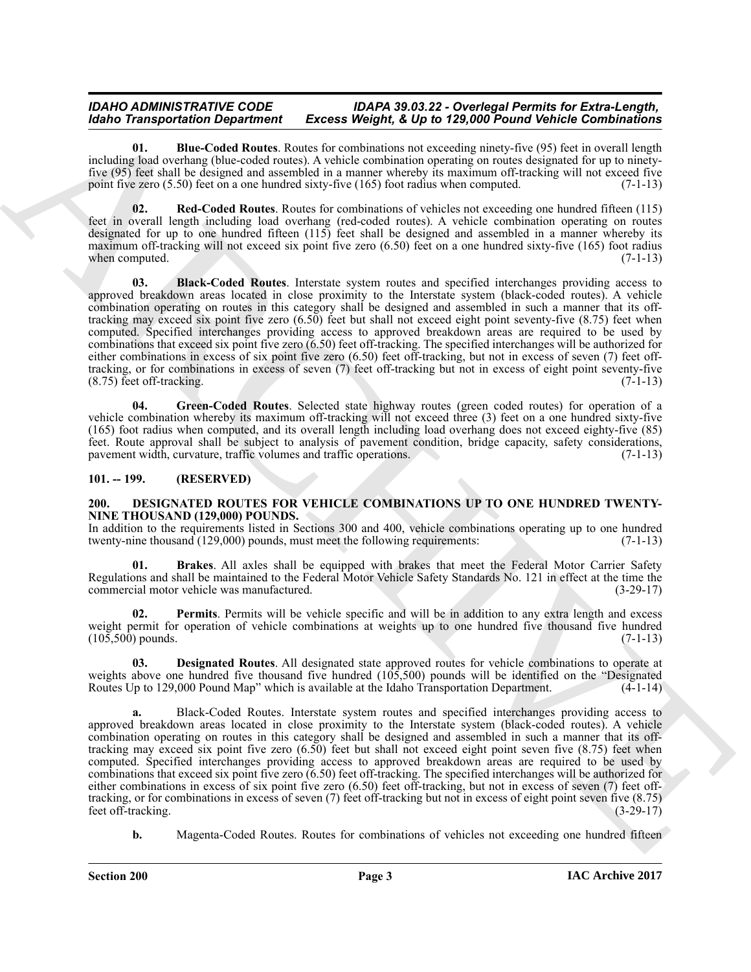# *IDAHO ADMINISTRATIVE CODE IDAPA 39.03.22 - Overlegal Permits for Extra-Length, Excess Weight, & Up to 129,000 Pound Vehicle Combinations*

<span id="page-2-3"></span>**01. Blue-Coded Routes**. Routes for combinations not exceeding ninety-five (95) feet in overall length including load overhang (blue-coded routes). A vehicle combination operating on routes designated for up to ninetyfive (95) feet shall be designed and assembled in a manner whereby its maximum off-tracking will not exceed five point five zero  $(5.50)$  feet on a one hundred sixty-five  $(165)$  foot radius when computed.  $(7-1-13)$ 

<span id="page-2-5"></span>**02. Red-Coded Routes**. Routes for combinations of vehicles not exceeding one hundred fifteen (115) feet in overall length including load overhang (red-coded routes). A vehicle combination operating on routes designated for up to one hundred fifteen (115) feet shall be designed and assembled in a manner whereby its maximum off-tracking will not exceed six point five zero (6.50) feet on a one hundred sixty-five (165) foot radius when computed.  $(7-1-13)$ 

<span id="page-2-2"></span>**03. Black-Coded Routes**. Interstate system routes and specified interchanges providing access to approved breakdown areas located in close proximity to the Interstate system (black-coded routes). A vehicle combination operating on routes in this category shall be designed and assembled in such a manner that its offtracking may exceed six point five zero (6.50) feet but shall not exceed eight point seventy-five (8.75) feet when computed. Specified interchanges providing access to approved breakdown areas are required to be used by combinations that exceed six point five zero (6.50) feet off-tracking. The specified interchanges will be authorized for either combinations in excess of six point five zero (6.50) feet off-tracking, but not in excess of seven (7) feet offtracking, or for combinations in excess of seven (7) feet off-tracking but not in excess of eight point seventy-five  $(8.75)$  feet off-tracking.

<span id="page-2-4"></span>**04. Green-Coded Routes**. Selected state highway routes (green coded routes) for operation of a vehicle combination whereby its maximum off-tracking will not exceed three (3) feet on a one hundred sixty-five (165) foot radius when computed, and its overall length including load overhang does not exceed eighty-five (85) feet. Route approval shall be subject to analysis of pavement condition, bridge capacity, safety considerations, pavement width, curvature, traffic volumes and traffic operations.

# <span id="page-2-0"></span>**101. -- 199. (RESERVED)**

## <span id="page-2-6"></span><span id="page-2-1"></span>**200. DESIGNATED ROUTES FOR VEHICLE COMBINATIONS UP TO ONE HUNDRED TWENTY-NINE THOUSAND (129,000) POUNDS.**

In addition to the requirements listed in Sections 300 and 400, vehicle combinations operating up to one hundred twenty-nine thousand (129,000) pounds, must meet the following requirements: (7-1-13) twenty-nine thousand (129,000) pounds, must meet the following requirements:

<span id="page-2-7"></span>**01. Brakes**. All axles shall be equipped with brakes that meet the Federal Motor Carrier Safety Regulations and shall be maintained to the Federal Motor Vehicle Safety Standards No. 121 in effect at the time the commercial motor vehicle was manufactured. (3-29-17)

<span id="page-2-9"></span>**02. Permits**. Permits will be vehicle specific and will be in addition to any extra length and excess weight permit for operation of vehicle combinations at weights up to one hundred five thousand five hundred  $(105.500)$  pounds.  $(7-1-13)$  $(10\bar{5}, 50\bar{0})$  pounds.

<span id="page-2-8"></span>**03. Designated Routes**. All designated state approved routes for vehicle combinations to operate at weights above one hundred five thousand five hundred  $(10\overline{5}, 500)$  pounds will be identified on the "Designated Routes Up to 129,000 Pound Map" which is available at the Idaho Transportation Department. (4-1-14) Routes Up to 129,000 Pound Map" which is available at the Idaho Transportation Department.

Model Transportation Department Excess Weight & Up in 128 and Southwest the combined for the state in the state in the state in the state in the state in the state in the state in the state in the state in the state in th **a.** Black-Coded Routes. Interstate system routes and specified interchanges providing access to approved breakdown areas located in close proximity to the Interstate system (black-coded routes). A vehicle combination operating on routes in this category shall be designed and assembled in such a manner that its offtracking may exceed six point five zero (6.50) feet but shall not exceed eight point seven five (8.75) feet when computed. Specified interchanges providing access to approved breakdown areas are required to be used by combinations that exceed six point five zero (6.50) feet off-tracking. The specified interchanges will be authorized for either combinations in excess of six point five zero (6.50) feet off-tracking, but not in excess of seven (7) feet offtracking, or for combinations in excess of seven (7) feet off-tracking but not in excess of eight point seven five (8.75) feet off-tracking.

**b.** Magenta-Coded Routes. Routes for combinations of vehicles not exceeding one hundred fifteen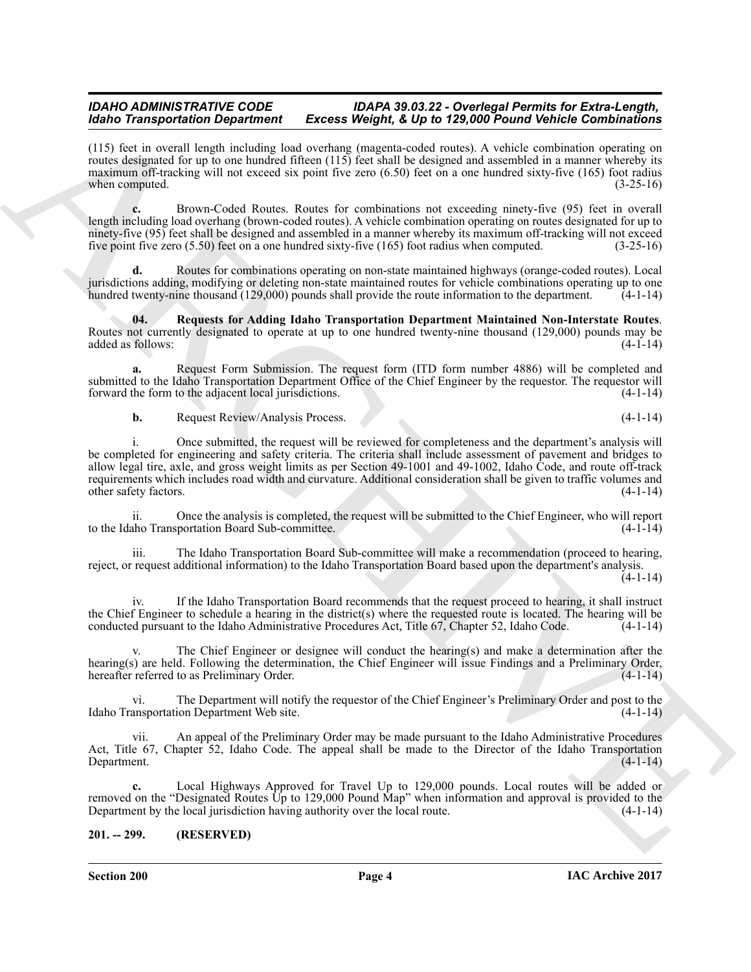# *IDAHO ADMINISTRATIVE CODE IDAPA 39.03.22 - Overlegal Permits for Extra-Length, Idaho Transportation Department Excess Weight, & Up to 129,000 Pound Vehicle Combinations*

(115) feet in overall length including load overhang (magenta-coded routes). A vehicle combination operating on routes designated for up to one hundred fifteen (115) feet shall be designed and assembled in a manner whereby its maximum off-tracking will not exceed six point five zero (6.50) feet on a one hundred sixty-five (165) foot radius when computed.  $(3-25-16)$ 

**c.** Brown-Coded Routes. Routes for combinations not exceeding ninety-five (95) feet in overall length including load overhang (brown-coded routes). A vehicle combination operating on routes designated for up to ninety-five (95) feet shall be designed and assembled in a manner whereby its maximum off-tracking will not exceed five point five zero (5.50) feet on a one hundred sixty-five (165) foot radius when computed. (3-25-16)

**d.** Routes for combinations operating on non-state maintained highways (orange-coded routes). Local jurisdictions adding, modifying or deleting non-state maintained routes for vehicle combinations operating up to one hundred twenty-nine thousand (129,000) pounds shall provide the route information to the department.

<span id="page-3-1"></span>**04. Requests for Adding Idaho Transportation Department Maintained Non-Interstate Routes**. Routes not currently designated to operate at up to one hundred twenty-nine thousand (129,000) pounds may be added as follows: (4-1-14) added as follows:

**a.** Request Form Submission. The request form (ITD form number 4886) will be completed and submitted to the Idaho Transportation Department Office of the Chief Engineer by the requestor. The requestor will forward the form to the adjacent local jurisdictions. (4-1-14) forward the form to the adjacent local jurisdictions.

**b.** Request Review/Analysis Process. (4-1-14)

Moto Transportation Department Excess Weight A Up in 128 Motor Medicine and the single commission and the single state of the single state of the single state of the single state of the single state of the single state of i. Once submitted, the request will be reviewed for completeness and the department's analysis will be completed for engineering and safety criteria. The criteria shall include assessment of pavement and bridges to allow legal tire, axle, and gross weight limits as per Section 49-1001 and 49-1002, Idaho Code, and route off-track requirements which includes road width and curvature. Additional consideration shall be given to traffic volumes and other safety factors.

ii. Once the analysis is completed, the request will be submitted to the Chief Engineer, who will report to the Idaho Transportation Board Sub-committee.

iii. The Idaho Transportation Board Sub-committee will make a recommendation (proceed to hearing, reject, or request additional information) to the Idaho Transportation Board based upon the department's analysis.

 $(4-1-14)$ 

iv. If the Idaho Transportation Board recommends that the request proceed to hearing, it shall instruct the Chief Engineer to schedule a hearing in the district(s) where the requested route is located. The hearing will be conducted pursuant to the Idaho Administrative Procedures Act, Title 67, Chapter 52, Idaho Code. (4-1-14 conducted pursuant to the Idaho Administrative Procedures Act, Title 67, Chapter 52, Idaho Code.

The Chief Engineer or designee will conduct the hearing(s) and make a determination after the hearing(s) are held. Following the determination, the Chief Engineer will issue Findings and a Preliminary Order, hereafter referred to as Preliminary Order. hereafter referred to as Preliminary Order.

vi. The Department will notify the requestor of the Chief Engineer's Preliminary Order and post to the Idaho Transportation Department Web site.

vii. An appeal of the Preliminary Order may be made pursuant to the Idaho Administrative Procedures Act, Title 67, Chapter 52, Idaho Code. The appeal shall be made to the Director of the Idaho Transportation Department. (4-1-14) Department. (4-1-14)

**c.** Local Highways Approved for Travel Up to 129,000 pounds. Local routes will be added or removed on the "Designated Routes Up to 129,000 Pound Map" when information and approval is provided to the Department by the local iurisdiction having authority over the local route. Department by the local jurisdiction having authority over the local route.

# <span id="page-3-0"></span>**201. -- 299. (RESERVED)**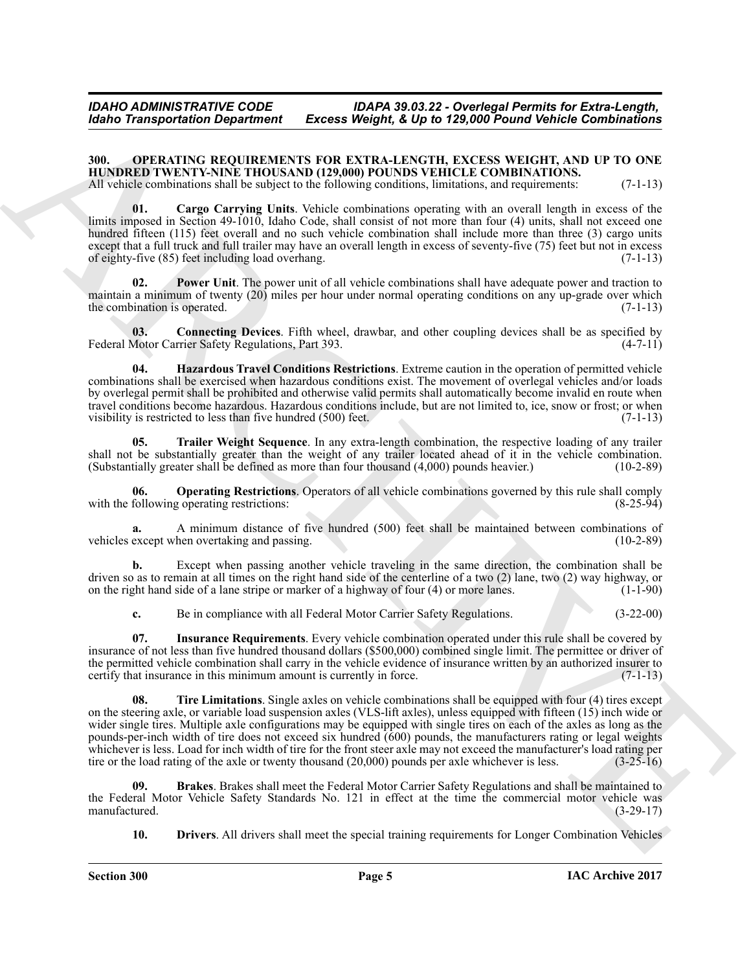# *IDAHO ADMINISTRATIVE CODE IDAPA 39.03.22 - Overlegal Permits for Extra-Length, Excess Weight, & Up to 129,000 Pound Vehicle Combinations*

# <span id="page-4-1"></span><span id="page-4-0"></span>**300. OPERATING REQUIREMENTS FOR EXTRA-LENGTH, EXCESS WEIGHT, AND UP TO ONE HUNDRED TWENTY-NINE THOUSAND (129,000) POUNDS VEHICLE COMBINATIONS.**

<span id="page-4-3"></span>All vehicle combinations shall be subject to the following conditions, limitations, and requirements: (7-1-13)

**01. Cargo Carrying Units**. Vehicle combinations operating with an overall length in excess of the limits imposed in Section 49-1010, Idaho Code, shall consist of not more than four (4) units, shall not exceed one hundred fifteen (115) feet overall and no such vehicle combination shall include more than three (3) cargo units except that a full truck and full trailer may have an overall length in excess of seventy-five (75) feet but not in excess of eighty-five (85) feet including load overhang. (7-1-13)

<span id="page-4-9"></span>Power Unit. The power unit of all vehicle combinations shall have adequate power and traction to maintain a minimum of twenty (20) miles per hour under normal operating conditions on any up-grade over which<br>the combination is operated. (7-1-13) the combination is operated.

<span id="page-4-4"></span>**03.** Connecting Devices. Fifth wheel, drawbar, and other coupling devices shall be as specified by Motor Carrier Safety Regulations, Part 393. (4-7-11) Federal Motor Carrier Safety Regulations, Part 393.

<span id="page-4-6"></span>**04. Hazardous Travel Conditions Restrictions**. Extreme caution in the operation of permitted vehicle combinations shall be exercised when hazardous conditions exist. The movement of overlegal vehicles and/or loads by overlegal permit shall be prohibited and otherwise valid permits shall automatically become invalid en route when travel conditions become hazardous. Hazardous conditions include, but are not limited to, ice, snow or frost; or when visibility is restricted to less than five hundred (500) feet. (7-1-13) visibility is restricted to less than five hundred  $(500)$  feet.

<span id="page-4-11"></span>**05. Trailer Weight Sequence**. In any extra-length combination, the respective loading of any trailer shall not be substantially greater than the weight of any trailer located ahead of it in the vehicle combination.<br>(Substantially greater shall be defined as more than four thousand  $(4,000)$  pounds heavier.) (10-2-89) (Substantially greater shall be defined as more than four thousand  $(4,000)$  pounds heavier.)

<span id="page-4-8"></span>**Operating Restrictions**. Operators of all vehicle combinations governed by this rule shall comply goperating restrictions: (8-25-94) with the following operating restrictions:

**a.** A minimum distance of five hundred (500) feet shall be maintained between combinations of except when overtaking and passing. (10-2-89) vehicles except when overtaking and passing.

**b.** Except when passing another vehicle traveling in the same direction, the combination shall be driven so as to remain at all times on the right hand side of the centerline of a two (2) lane, two (2) way highway, or on the right hand side of a lane stripe or marker of a highway of four (4) or more lanes. (1-1-90)

<span id="page-4-10"></span><span id="page-4-7"></span>**c.** Be in compliance with all Federal Motor Carrier Safety Regulations. (3-22-00)

**07. Insurance Requirements**. Every vehicle combination operated under this rule shall be covered by insurance of not less than five hundred thousand dollars (\$500,000) combined single limit. The permittee or driver of the permitted vehicle combination shall carry in the vehicle evidence of insurance written by an authorized insurer to certify that insurance in this minimum amount is currently in force. (7-1-13) certify that insurance in this minimum amount is currently in force.

**EXAMPLE THE SECTION CONTINUES THE CONSUMERATION CONTINUES THE EXAMPLE THE SECTION CONTINUES THE SECTION CONTINUES THE SECTION CONTINUES THE SECTION CONTINUES THE SECTION CONTINUES THE SECTION CONTINUES THE SECTION CONTI 08. Tire Limitations**. Single axles on vehicle combinations shall be equipped with four (4) tires except on the steering axle, or variable load suspension axles (VLS-lift axles), unless equipped with fifteen (15) inch wide or wider single tires. Multiple axle configurations may be equipped with single tires on each of the axles as long as the pounds-per-inch width of tire does not exceed six hundred (600) pounds, the manufacturers rating or legal weights whichever is less. Load for inch width of tire for the front steer axle may not exceed the manufacturer's load rating per tire or the load rating of the axle or twenty thousand (20,000) pounds per axle whichever is less. ( tire or the load rating of the axle or twenty thousand  $(20,000)$  pounds per axle whichever is less.

**09. Brakes**. Brakes shall meet the Federal Motor Carrier Safety Regulations and shall be maintained to the Federal Motor Vehicle Safety Standards No. 121 in effect at the time the commercial motor vehicle was manufactured. (3-29-17) manufactured.

<span id="page-4-5"></span><span id="page-4-2"></span>**10. Drivers**. All drivers shall meet the special training requirements for Longer Combination Vehicles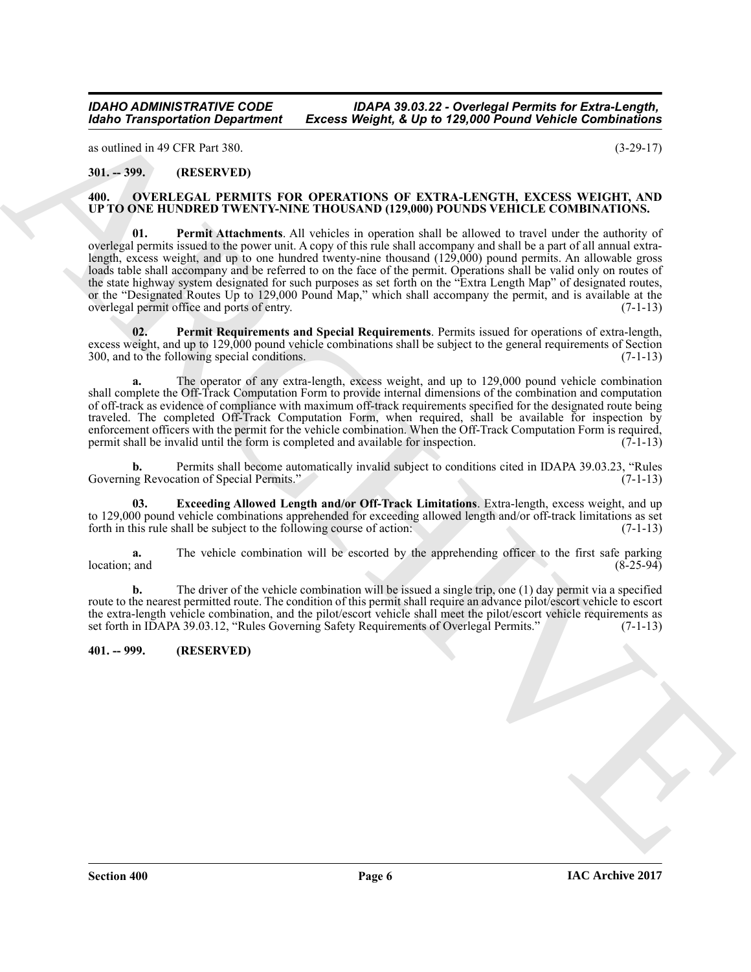*IDAHO ADMINISTRATIVE CODE IDAPA 39.03.22 - Overlegal Permits for Extra-Length, Excess Weight, & Up to 129,000 Pound Vehicle Combinations* 

as outlined in 49 CFR Part 380. (3-29-17)

<span id="page-5-0"></span>**301. -- 399. (RESERVED)**

## <span id="page-5-5"></span><span id="page-5-3"></span><span id="page-5-1"></span>**400. OVERLEGAL PERMITS FOR OPERATIONS OF EXTRA-LENGTH, EXCESS WEIGHT, AND UP TO ONE HUNDRED TWENTY-NINE THOUSAND (129,000) POUNDS VEHICLE COMBINATIONS.**

**EXAMPLE THE CONSULTING CONSULTING CONSULTING CONSULTING CONSULTING CONSULTING CONSULTING CONSULTING CONSULTING CONSULTING CONSULTING CONSULTING CONSULTING CONSULTING CONSULTING CONSULTING CONSULTING CONSULTING CONSULTING 01. Permit Attachments**. All vehicles in operation shall be allowed to travel under the authority of overlegal permits issued to the power unit. A copy of this rule shall accompany and shall be a part of all annual extralength, excess weight, and up to one hundred twenty-nine thousand (129,000) pound permits. An allowable gross loads table shall accompany and be referred to on the face of the permit. Operations shall be valid only on routes of the state highway system designated for such purposes as set forth on the "Extra Length Map" of designated routes, or the "Designated Routes Up to 129,000 Pound Map," which shall accompany the permit, and is available at the overlegal permit office and ports of entry. (7-1-13)

<span id="page-5-6"></span>**02. Permit Requirements and Special Requirements**. Permits issued for operations of extra-length, excess weight, and up to 129,000 pound vehicle combinations shall be subject to the general requirements of Section 300, and to the following special conditions. 300, and to the following special conditions.

**a.** The operator of any extra-length, excess weight, and up to 129,000 pound vehicle combination shall complete the Off-Track Computation Form to provide internal dimensions of the combination and computation of off-track as evidence of compliance with maximum off-track requirements specified for the designated route being traveled. The completed Off-Track Computation Form, when required, shall be available for inspection by enforcement officers with the permit for the vehicle combination. When the Off-Track Computation Form is required, permit shall be invalid until the form is completed and available for inspection.  $(7-1-13)$ 

**b.** Permits shall become automatically invalid subject to conditions cited in IDAPA 39.03.23, "Rules Governing Revocation of Special Permits." (7-1-13)

<span id="page-5-4"></span>**03. Exceeding Allowed Length and/or Off-Track Limitations**. Extra-length, excess weight, and up to 129,000 pound vehicle combinations apprehended for exceeding allowed length and/or off-track limitations as set forth in this rule shall be subject to the following course of action.  $(7-1-13)$ forth in this rule shall be subject to the following course of action:

**a.** The vehicle combination will be escorted by the apprehending officer to the first safe parking location; and (8-25-94)  $\lvert \text{location} \rvert$  and  $\lvert \text{8-25-94} \rvert$ 

**b.** The driver of the vehicle combination will be issued a single trip, one (1) day permit via a specified route to the nearest permitted route. The condition of this permit shall require an advance pilot/escort vehicle to escort the extra-length vehicle combination, and the pilot/escort vehicle shall meet the pilot/escort vehicle requirements as set forth in IDAPA 39.03.12, "Rules Governing Safety Requirements of Overlegal Permits." (7-1-13)

<span id="page-5-2"></span>**401. -- 999. (RESERVED)**